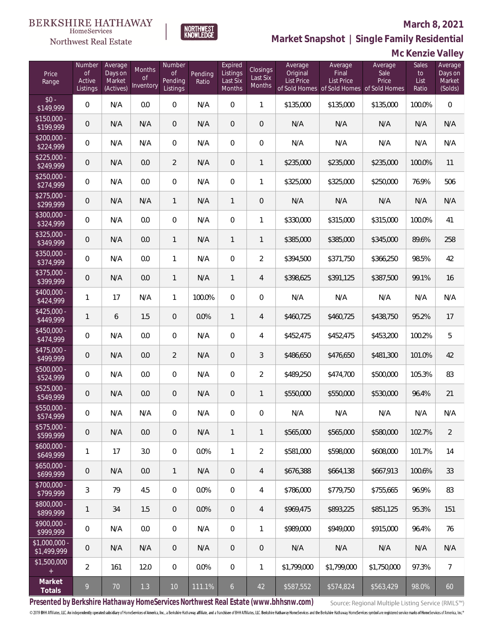

HomeServices

**Market Snapshot | Single Family Residential**

## **Mc Kenzie Valley**

| Price<br>Range                | Number<br><b>of</b><br>Active<br>Listings | Average<br>Days on<br>Market<br>(Actives) | Months<br>0f<br>Inventory | Number<br><b>of</b><br>Pending<br>Listings | Pending<br>Ratio | Expired<br>Listings<br>Last Six<br><b>Months</b> | Closings<br>Last Six<br>Months | Average<br>Original<br><b>List Price</b> | Average<br>Final<br><b>List Price</b><br>of Sold Homes of Sold Homes of Sold Homes | Average<br>Sale<br>Price | Sales<br>to<br>List<br>Ratio | Average<br>Days on<br>Market<br>(Solds) |
|-------------------------------|-------------------------------------------|-------------------------------------------|---------------------------|--------------------------------------------|------------------|--------------------------------------------------|--------------------------------|------------------------------------------|------------------------------------------------------------------------------------|--------------------------|------------------------------|-----------------------------------------|
| $$0 -$<br>\$149,999           | $\overline{0}$                            | N/A                                       | 0.0                       | $\Omega$                                   | N/A              | $\Omega$                                         | $\mathbf{1}$                   | \$135,000                                | \$135,000                                                                          | \$135,000                | 100.0%                       | $\overline{0}$                          |
| $$150,000 -$<br>\$199,999     | $\overline{0}$                            | N/A                                       | N/A                       | $\overline{0}$                             | N/A              | $\overline{0}$                                   | $\overline{0}$                 | N/A                                      | N/A                                                                                | N/A                      | N/A                          | N/A                                     |
| $$200,000 -$<br>\$224,999     | $\overline{0}$                            | N/A                                       | N/A                       | $\overline{0}$                             | N/A              | $\overline{0}$                                   | $\boldsymbol{0}$               | N/A                                      | N/A                                                                                | N/A                      | N/A                          | N/A                                     |
| $$225,000 -$<br>\$249,999     | $\overline{0}$                            | N/A                                       | 0.0                       | $\overline{2}$                             | N/A              | $\overline{0}$                                   | $\mathbf{1}$                   | \$235,000                                | \$235,000                                                                          | \$235,000                | 100.0%                       | 11                                      |
| $$250,000 -$<br>\$274,999     | $\overline{0}$                            | N/A                                       | 0.0                       | $\overline{0}$                             | N/A              | $\overline{0}$                                   | 1                              | \$325,000                                | \$325,000                                                                          | \$250,000                | 76.9%                        | 506                                     |
| $$275,000 -$<br>\$299,999     | $\boldsymbol{0}$                          | N/A                                       | N/A                       | $\mathbf{1}$                               | N/A              | $\mathbf{1}$                                     | $\overline{0}$                 | N/A                                      | N/A                                                                                | N/A                      | N/A                          | N/A                                     |
| $$300,000 -$<br>\$324,999     | $\overline{0}$                            | N/A                                       | 0.0                       | $\overline{0}$                             | N/A              | $\overline{0}$                                   | 1                              | \$330,000                                | \$315,000                                                                          | \$315,000                | 100.0%                       | 41                                      |
| $$325,000 -$<br>\$349,999     | $\boldsymbol{0}$                          | N/A                                       | 0.0                       | $\mathbf{1}$                               | N/A              | $\mathbf{1}$                                     | 1                              | \$385,000                                | \$385,000                                                                          | \$345,000                | 89.6%                        | 258                                     |
| $$350,000 -$<br>\$374,999     | $\overline{0}$                            | N/A                                       | 0.0                       | $\mathbf{1}$                               | N/A              | $\overline{0}$                                   | $\overline{2}$                 | \$394,500                                | \$371,750                                                                          | \$366,250                | 98.5%                        | 42                                      |
| \$375,000 -<br>\$399,999      | $\boldsymbol{0}$                          | N/A                                       | 0.0                       | $\mathbf{1}$                               | N/A              | $\mathbf{1}$                                     | $\overline{4}$                 | \$398,625                                | \$391,125                                                                          | \$387,500                | 99.1%                        | 16                                      |
| $$400,000 -$<br>\$424,999     | $\mathbf{1}$                              | 17                                        | N/A                       | $\mathbf{1}$                               | 100.0%           | $\Omega$                                         | $\boldsymbol{0}$               | N/A                                      | N/A                                                                                | N/A                      | N/A                          | N/A                                     |
| $$425,000 -$<br>\$449,999     | $\mathbf{1}$                              | 6                                         | 1.5                       | $\overline{0}$                             | 0.0%             | $\mathbf{1}$                                     | $\overline{4}$                 | \$460,725                                | \$460,725                                                                          | \$438,750                | 95.2%                        | 17                                      |
| $$450,000 -$<br>\$474,999     | 0                                         | N/A                                       | 0.0                       | $\overline{0}$                             | N/A              | $\overline{0}$                                   | $\overline{4}$                 | \$452,475                                | \$452,475                                                                          | \$453,200                | 100.2%                       | 5                                       |
| $$475,000 -$<br>\$499,999     | $\mathbf 0$                               | N/A                                       | 0.0                       | $\overline{2}$                             | N/A              | $\overline{0}$                                   | 3                              | \$486,650                                | \$476,650                                                                          | \$481,300                | 101.0%                       | 42                                      |
| $$500,000 -$<br>\$524,999     | $\overline{0}$                            | N/A                                       | 0.0                       | $\overline{0}$                             | N/A              | $\overline{0}$                                   | $\overline{2}$                 | \$489,250                                | \$474,700                                                                          | \$500,000                | 105.3%                       | 83                                      |
| $$525,000 -$<br>\$549,999     | $\mathbf 0$                               | N/A                                       | 0.0                       | $\overline{0}$                             | N/A              | $\overline{0}$                                   | $\mathbf{1}$                   | \$550,000                                | \$550,000                                                                          | \$530,000                | 96.4%                        | 21                                      |
| \$550,000 -<br>\$574,999      | $\boldsymbol{0}$                          | N/A                                       | N/A                       | $\overline{0}$                             | N/A              | $\overline{0}$                                   | $\boldsymbol{0}$               | N/A                                      | N/A                                                                                | N/A                      | N/A                          | N/A                                     |
| \$575,000 -<br>\$599,999      | $\mathsf{O}\xspace$                       | N/A                                       | 0.0                       | $\theta$                                   | N/A              | $\mathbf{1}$                                     | 1                              | \$565,000                                | \$565,000                                                                          | \$580,000                | 102.7%                       | $\overline{2}$                          |
| $$600,000 -$<br>\$649,999     | $\mathbf{1}$                              | 17                                        | 3.0                       | $\boldsymbol{0}$                           | 0.0%             | $\mathbf{1}$                                     | $\overline{2}$                 | \$581,000                                | \$598,000                                                                          | \$608,000                | 101.7%                       | 14                                      |
| $$650,000 -$<br>\$699,999     | $\mathbf 0$                               | N/A                                       | 0.0                       | 1                                          | N/A              | $\overline{0}$                                   | 4                              | \$676,388                                | \$664,138                                                                          | \$667,913                | 100.6%                       | 33                                      |
| $$700,000 -$<br>\$799,999     | $\mathfrak{Z}$                            | 79                                        | 4.5                       | $\boldsymbol{0}$                           | 0.0%             | $\boldsymbol{0}$                                 | 4                              | \$786,000                                | \$779,750                                                                          | \$755,665                | 96.9%                        | 83                                      |
| \$800,000 -<br>\$899,999      | $\mathbf{1}$                              | 34                                        | 1.5                       | $\theta$                                   | 0.0%             | $\overline{0}$                                   | 4                              | \$969,475                                | \$893,225                                                                          | \$851,125                | 95.3%                        | 151                                     |
| $$900,000 -$<br>\$999,999     | 0                                         | N/A                                       | 0.0                       | 0                                          | N/A              | $\boldsymbol{0}$                                 | 1                              | \$989,000                                | \$949,000                                                                          | \$915,000                | 96.4%                        | 76                                      |
| $$1,000,000$ -<br>\$1,499,999 | $\mathbf 0$                               | N/A                                       | N/A                       | $\overline{0}$                             | N/A              | $\overline{0}$                                   | $\theta$                       | N/A                                      | N/A                                                                                | N/A                      | N/A                          | N/A                                     |
| \$1,500,000<br>$+$            | $\overline{a}$                            | 161                                       | 12.0                      | $\boldsymbol{0}$                           | $0.0\%$          | $\boldsymbol{0}$                                 | 1                              | \$1,799,000                              | \$1,799,000                                                                        | \$1,750,000              | 97.3%                        | $\overline{7}$                          |
| Market<br>Totals              | 9                                         | 70                                        | 1.3                       | 10                                         | 111.1%           | $\overline{6}$                                   | 42                             | \$587,552                                | \$574,824                                                                          | \$563,429                | 98.0%                        | 60                                      |

**Presented by Berkshire Hathaway HomeServices Northwest Real Estate (www.bhhsnw.com)**

Source: Regional Multiple Listing Service (RMLS™)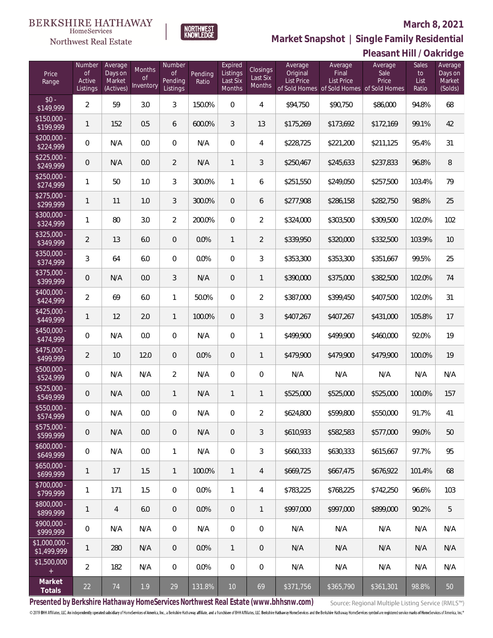

**Market Snapshot | Single Family Residential**

#### **BERKSHIRE HATHAWAY** NORTHWEST<br>KNOWLEDGE  $\label{lem:sevices} \textsc{Home} \textsc{Service} \textsc{s}$

Northwest Real Estate

|                               |                                           |                                           |                           |                                            |                  |                                           |                                       |                                          |                                       | Pleasant Hill / Oakridge                                              |                              |                                         |
|-------------------------------|-------------------------------------------|-------------------------------------------|---------------------------|--------------------------------------------|------------------|-------------------------------------------|---------------------------------------|------------------------------------------|---------------------------------------|-----------------------------------------------------------------------|------------------------------|-----------------------------------------|
| Price<br>Range                | Number<br><b>of</b><br>Active<br>Listings | Average<br>Days on<br>Market<br>(Actives) | Months<br>Οf<br>Inventory | Number<br><b>of</b><br>Pending<br>Listings | Pending<br>Ratio | Expired<br>Listings<br>Last Six<br>Months | <b>Closings</b><br>Last Six<br>Months | Average<br>Original<br><b>List Price</b> | Average<br>Final<br><b>List Price</b> | Average<br>Sale<br>Price<br>of Sold Homes of Sold Homes of Sold Homes | Sales<br>to<br>List<br>Ratio | Average<br>Days on<br>Market<br>(Solds) |
| $$0 -$<br>\$149,999           | $\overline{2}$                            | 59                                        | 3.0                       | 3                                          | 150.0%           | $\boldsymbol{0}$                          | 4                                     | \$94,750                                 | \$90,750                              | \$86,000                                                              | 94.8%                        | 68                                      |
| $$150,000 -$<br>\$199,999     | 1                                         | 152                                       | 0.5                       | 6                                          | 600.0%           | 3                                         | 13                                    | \$175,269                                | \$173,692                             | \$172,169                                                             | 99.1%                        | 42                                      |
| $$200,000 -$<br>\$224,999     | $\overline{0}$                            | N/A                                       | 0.0                       | $\overline{0}$                             | N/A              | $\overline{0}$                            | 4                                     | \$228,725                                | \$221,200                             | \$211,125                                                             | 95.4%                        | 31                                      |
| $$225,000 -$<br>\$249,999     | 0                                         | N/A                                       | 0.0                       | $\overline{2}$                             | N/A              | 1                                         | $\mathfrak{Z}$                        | \$250,467                                | \$245,633                             | \$237,833                                                             | 96.8%                        | 8                                       |
| $$250,000 -$<br>\$274,999     | $\mathbf{1}$                              | 50                                        | 1.0                       | 3                                          | 300.0%           | 1                                         | 6                                     | \$251,550                                | \$249,050                             | \$257,500                                                             | 103.4%                       | 79                                      |
| $$275,000 -$<br>\$299,999     | 1                                         | 11                                        | 1.0                       | 3                                          | 300.0%           | $\overline{0}$                            | 6                                     | \$277,908                                | \$286,158                             | \$282,750                                                             | 98.8%                        | 25                                      |
| \$300,000 -<br>\$324,999      | $\mathbf{1}$                              | 80                                        | 3.0                       | $\overline{2}$                             | 200.0%           | $\overline{0}$                            | $\overline{2}$                        | \$324,000                                | \$303,500                             | \$309,500                                                             | 102.0%                       | 102                                     |
| $$325,000 -$<br>\$349,999     | $\overline{2}$                            | 13                                        | 6.0                       | $\overline{0}$                             | 0.0%             | $\mathbf{1}$                              | $\overline{2}$                        | \$339,950                                | \$320,000                             | \$332,500                                                             | 103.9%                       | 10                                      |
| \$350,000 -<br>\$374,999      | 3                                         | 64                                        | 6.0                       | $\mathbf{0}$                               | 0.0%             | $\overline{0}$                            | 3                                     | \$353,300                                | \$353,300                             | \$351,667                                                             | 99.5%                        | 25                                      |
| \$375,000 -<br>\$399,999      | 0                                         | N/A                                       | 0.0                       | 3                                          | N/A              | $\mathbf 0$                               | $\mathbf{1}$                          | \$390,000                                | \$375,000                             | \$382,500                                                             | 102.0%                       | 74                                      |
| \$400,000 -<br>\$424,999      | $\overline{2}$                            | 69                                        | 6.0                       | $\mathbf{1}$                               | 50.0%            | $\overline{0}$                            | $\overline{2}$                        | \$387,000                                | \$399,450                             | \$407,500                                                             | 102.0%                       | 31                                      |
| $$425,000 -$<br>\$449,999     | 1                                         | 12                                        | 2.0                       | $\mathbf{1}$                               | 100.0%           | $\overline{0}$                            | $\mathfrak{Z}$                        | \$407,267                                | \$407,267                             | \$431,000                                                             | 105.8%                       | 17                                      |
| $$450,000 -$<br>\$474,999     | $\overline{0}$                            | N/A                                       | 0.0                       | $\overline{0}$                             | N/A              | $\boldsymbol{0}$                          | 1                                     | \$499,900                                | \$499,900                             | \$460,000                                                             | 92.0%                        | 19                                      |
| $$475,000 -$<br>\$499,999     | $\overline{2}$                            | 10                                        | 12.0                      | $\overline{0}$                             | 0.0%             | $\mathbf 0$                               | $\mathbf{1}$                          | \$479,900                                | \$479,900                             | \$479,900                                                             | 100.0%                       | 19                                      |
| \$500,000 -<br>\$524,999      | 0                                         | N/A                                       | N/A                       | $\overline{2}$                             | N/A              | $\boldsymbol{0}$                          | $\mathbf 0$                           | N/A                                      | N/A                                   | N/A                                                                   | N/A                          | N/A                                     |
| $$525,000 -$<br>\$549,999     | 0                                         | N/A                                       | 0.0                       | $\mathbf{1}$                               | N/A              | 1                                         | 1                                     | \$525,000                                | \$525,000                             | \$525,000                                                             | 100.0%                       | 157                                     |
| \$550,000 -<br>\$574,999      | 0                                         | N/A                                       | 0.0                       | $\mathbf{0}$                               | N/A              | $\mathbf{0}$                              | $\overline{2}$                        | \$624,800                                | \$599,800                             | \$550,000                                                             | 91.7%                        | 41                                      |
| \$575,000 -<br>\$599,999      | 0                                         | N/A                                       | 0.0                       | $\overline{0}$                             | N/A              | $\overline{0}$                            | $\mathfrak{Z}$                        | \$610,933                                | \$582,583                             | \$577,000                                                             | 99.0%                        | 50                                      |
| $$600.000 -$<br>\$649,999     | $\overline{0}$                            | N/A                                       | 0.0                       | $\mathbf{1}$                               | N/A              | $\overline{0}$                            | 3                                     | \$660,333                                | \$630,333                             | \$615,667                                                             | 97.7%                        | 95                                      |
| $$650,000 -$<br>\$699,999     | 1                                         | 17                                        | 1.5                       | $\mathbf{1}$                               | 100.0%           | $\mathbf{1}$                              | $\overline{4}$                        | \$669,725                                | \$667,475                             | \$676,922                                                             | 101.4%                       | 68                                      |
| $$700,000 -$<br>\$799,999     | 1                                         | 171                                       | 1.5                       | $\overline{0}$                             | 0.0%             | 1                                         | 4                                     | \$783,225                                | \$768,225                             | \$742,250                                                             | 96.6%                        | 103                                     |
| $$800.000 -$<br>\$899,999     | 1                                         | $\overline{4}$                            | 6.0                       | $\overline{0}$                             | 0.0%             | $\overline{0}$                            | 1                                     | \$997,000                                | \$997,000                             | \$899,000                                                             | 90.2%                        | 5                                       |
| $$900.000 -$<br>\$999,999     | $\overline{0}$                            | N/A                                       | N/A                       | $\overline{0}$                             | N/A              | $\overline{0}$                            | $\mathbf 0$                           | N/A                                      | N/A                                   | N/A                                                                   | N/A                          | N/A                                     |
| $$1.000.000 -$<br>\$1,499,999 | 1                                         | 280                                       | N/A                       | $\overline{0}$                             | $0.0\%$          | $\mathbf{1}$                              | $\overline{0}$                        | N/A                                      | N/A                                   | N/A                                                                   | N/A                          | N/A                                     |
| \$1,500,000                   | $\overline{2}$                            | 182                                       | N/A                       | $\overline{0}$                             | $0.0\%$          | $\overline{0}$                            | $\mathbf 0$                           | N/A                                      | N/A                                   | N/A                                                                   | N/A                          | N/A                                     |
| Market<br>Totals              | 22                                        | 74                                        | 1.9                       | 29                                         | 131.8%           | 10                                        | 69                                    | \$371,756                                | \$365,790                             | \$361,301                                                             | 98.8%                        | 50                                      |

**Presented by Berkshire Hathaway HomeServices Northwest Real Estate (www.bhhsnw.com)**

Source: Regional Multiple Listing Service (RMLS™)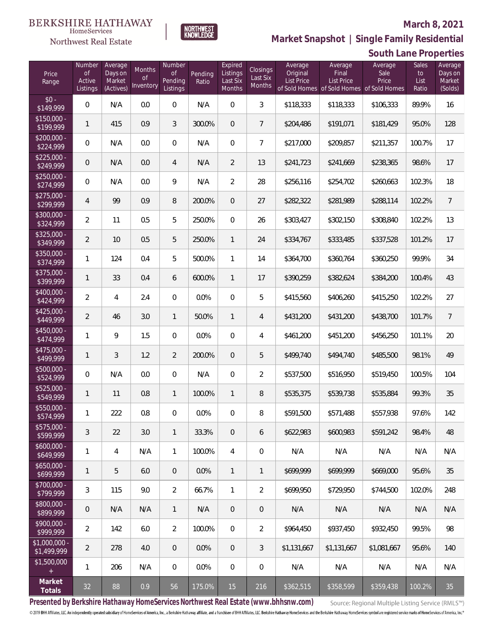

NORTHWEST<br>KNOWLEDGE

Northwest Real Estate

**Market Snapshot | Single Family Residential**

|                               |                                           |                                           |                                  |                                            |                  |                                           |                                       |                                          |                                                                             | South Lane Properties    |                                     |                                         |
|-------------------------------|-------------------------------------------|-------------------------------------------|----------------------------------|--------------------------------------------|------------------|-------------------------------------------|---------------------------------------|------------------------------------------|-----------------------------------------------------------------------------|--------------------------|-------------------------------------|-----------------------------------------|
| Price<br>Range                | Number<br><b>of</b><br>Active<br>Listings | Average<br>Days on<br>Market<br>(Actives) | Months<br><b>of</b><br>Inventory | Number<br><b>of</b><br>Pending<br>Listings | Pending<br>Ratio | Expired<br>Listings<br>Last Six<br>Months | Closings<br>Last Six<br><b>Months</b> | Average<br>Original<br><b>List Price</b> | Average<br>Final<br>List Price<br>of Sold Homes of Sold Homes of Sold Homes | Average<br>Sale<br>Price | <b>Sales</b><br>to<br>List<br>Ratio | Average<br>Days on<br>Market<br>(Solds) |
| $$0 -$<br>\$149,999           | $\boldsymbol{0}$                          | N/A                                       | 0.0                              | $\boldsymbol{0}$                           | N/A              | $\overline{0}$                            | 3                                     | \$118,333                                | \$118,333                                                                   | \$106,333                | 89.9%                               | 16                                      |
| $$150,000 -$<br>\$199,999     | $\mathbf{1}$                              | 415                                       | 0.9                              | 3                                          | 300.0%           | $\overline{0}$                            | $\overline{7}$                        | \$204,486                                | \$191,071                                                                   | \$181,429                | 95.0%                               | 128                                     |
| $$200,000 -$<br>\$224,999     | 0                                         | N/A                                       | 0.0                              | $\boldsymbol{0}$                           | N/A              | $\overline{0}$                            | $\overline{7}$                        | \$217,000                                | \$209,857                                                                   | \$211,357                | 100.7%                              | 17                                      |
| $$225,000 -$<br>\$249,999     | 0                                         | N/A                                       | 0.0                              | $\overline{4}$                             | N/A              | $\overline{2}$                            | 13                                    | \$241,723                                | \$241,669                                                                   | \$238,365                | 98.6%                               | 17                                      |
| $$250,000 -$<br>\$274,999     | 0                                         | N/A                                       | 0.0                              | 9                                          | N/A              | $\overline{2}$                            | 28                                    | \$256,116                                | \$254,702                                                                   | \$260,663                | 102.3%                              | 18                                      |
| $$275,000 -$<br>\$299,999     | $\overline{4}$                            | 99                                        | 0.9                              | 8                                          | 200.0%           | $\overline{0}$                            | 27                                    | \$282,322                                | \$281,989                                                                   | \$288,114                | 102.2%                              | $\overline{7}$                          |
| $$300,000 -$<br>\$324,999     | $\overline{a}$                            | 11                                        | 0.5                              | 5                                          | 250.0%           | $\overline{0}$                            | 26                                    | \$303,427                                | \$302,150                                                                   | \$308,840                | 102.2%                              | 13                                      |
| $$325,000 -$<br>\$349,999     | $\overline{a}$                            | 10                                        | 0.5                              | $\mathbf 5$                                | 250.0%           | 1                                         | 24                                    | \$334,767                                | \$333,485                                                                   | \$337,528                | 101.2%                              | 17                                      |
| $$350,000 -$<br>\$374,999     | 1                                         | 124                                       | 0.4                              | 5                                          | 500.0%           | 1                                         | 14                                    | \$364,700                                | \$360,764                                                                   | \$360,250                | 99.9%                               | 34                                      |
| \$375,000 -<br>\$399,999      | 1                                         | 33                                        | 0.4                              | 6                                          | 600.0%           | $\mathbf{1}$                              | 17                                    | \$390,259                                | \$382,624                                                                   | \$384,200                | 100.4%                              | 43                                      |
| $$400,000 -$<br>\$424,999     | $\overline{a}$                            | $\overline{4}$                            | 2.4                              | $\boldsymbol{0}$                           | 0.0%             | $\overline{0}$                            | 5                                     | \$415,560                                | \$406,260                                                                   | \$415,250                | 102.2%                              | 27                                      |
| $$425,000 -$<br>\$449,999     | $\overline{2}$                            | 46                                        | 3.0                              | $\mathbf{1}$                               | 50.0%            | $\mathbf{1}$                              | 4                                     | \$431,200                                | \$431,200                                                                   | \$438,700                | 101.7%                              | $\overline{7}$                          |
| $$450,000 -$<br>\$474,999     | $\mathbf{1}$                              | 9                                         | 1.5                              | $\boldsymbol{0}$                           | 0.0%             | $\overline{0}$                            | 4                                     | \$461,200                                | \$451,200                                                                   | \$456,250                | 101.1%                              | 20                                      |
| \$475,000 -<br>\$499,999      | 1                                         | 3                                         | 1.2                              | $\overline{2}$                             | 200.0%           | $\overline{0}$                            | 5                                     | \$499,740                                | \$494,740                                                                   | \$485,500                | 98.1%                               | 49                                      |
| $$500,000 -$<br>\$524,999     | $\boldsymbol{0}$                          | N/A                                       | 0.0                              | $\boldsymbol{0}$                           | N/A              | $\overline{0}$                            | $\overline{2}$                        | \$537,500                                | \$516,950                                                                   | \$519,450                | 100.5%                              | 104                                     |
| \$525,000 -<br>\$549,999      | 1                                         | 11                                        | 0.8                              | $\mathbf{1}$                               | 100.0%           | 1                                         | 8                                     | \$535,375                                | \$539,738                                                                   | \$535,884                | 99.3%                               | 35                                      |
| \$550,000<br>\$574,999        | 1                                         | 222                                       | 0.8                              | $\overline{0}$                             | 0.0%             | $\Omega$                                  | 8                                     | \$591,500                                | \$571,488                                                                   | \$557,938                | 97.6%                               | 142                                     |
| $$575,000 -$<br>\$599,999     | 3                                         | 22                                        | 3.0                              | $\mathbf{1}$                               | 33.3%            | $\overline{0}$                            | 6                                     | \$622,983                                | \$600,983                                                                   | \$591,242                | 98.4%                               | 48                                      |
| $$600,000 -$<br>\$649,999     | 1                                         | 4                                         | N/A                              | $\mathbf{1}$                               | 100.0%           | 4                                         | 0                                     | N/A                                      | N/A                                                                         | N/A                      | N/A                                 | N/A                                     |
| $$650,000 -$<br>\$699,999     | 1                                         | 5                                         | 6.0                              | $\mathbf 0$                                | 0.0%             | $\mathbf{1}$                              | $\mathbf{1}$                          | \$699,999                                | \$699,999                                                                   | \$669,000                | 95.6%                               | 35                                      |
| $$700,000 -$<br>\$799,999     | $\mathfrak{Z}$                            | 115                                       | 9.0                              | $\overline{2}$                             | 66.7%            | $\mathbf{1}$                              | $\overline{2}$                        | \$699.950                                | \$729,950                                                                   | \$744,500                | 102.0%                              | 248                                     |
| \$800,000 -<br>\$899,999      | 0                                         | N/A                                       | N/A                              | $\mathbf{1}$                               | N/A              | $\overline{0}$                            | 0                                     | N/A                                      | N/A                                                                         | N/A                      | N/A                                 | N/A                                     |
| $$900,000 -$<br>\$999,999     | $\overline{2}$                            | 142                                       | 6.0                              | $\overline{2}$                             | 100.0%           | $\mathbf{0}$                              | $\overline{2}$                        | \$964,450                                | \$937,450                                                                   | \$932,450                | 99.5%                               | 98                                      |
| $$1,000,000 -$<br>\$1,499,999 | $\overline{2}$                            | 278                                       | 4.0                              | $\overline{0}$                             | 0.0%             | $\overline{0}$                            | 3                                     | \$1,131,667                              | \$1,131,667                                                                 | \$1,081,667              | 95.6%                               | 140                                     |
| \$1,500,000<br>$+$            | 1                                         | 206                                       | N/A                              | $\overline{0}$                             | 0.0%             | $\mathbf 0$                               | 0                                     | N/A                                      | N/A                                                                         | N/A                      | N/A                                 | N/A                                     |
| Market<br>Totals              | 32                                        | 88                                        | 0.9                              | 56                                         | 175.0%           | 15                                        | 216                                   | \$362,515                                | \$358,599                                                                   | \$359,438                | 100.2%                              | 35                                      |

**Presented by Berkshire Hathaway HomeServices Northwest Real Estate (www.bhhsnw.com)**

Source: Regional Multiple Listing Service (RMLS™)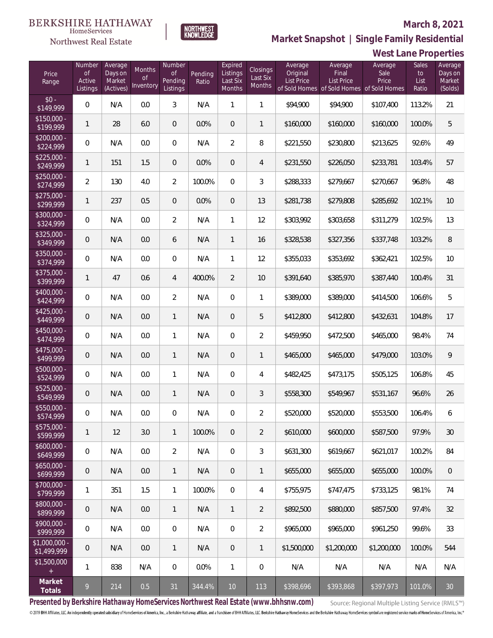**West Lane Properties**



**NORTHWEST**<br>KNOWLEDGE

Northwest Real Estate

**Market Snapshot | Single Family Residential**

| Price<br>Range               | Number<br><b>of</b><br>Active<br>Listings | Average<br>Days on<br>Market<br>(Actives) | Months<br>Οf<br>Inventory | Number<br><b>of</b><br>Pending<br>Listings | Pending<br>Ratio | Expired<br>Listings<br>Last Six<br>Months | Closings<br>Last Six<br>Months | Average<br>Original<br>List Price | Average<br>Final<br><b>List Price</b><br>of Sold Homes of Sold Homes | Average<br>Sale<br>Price<br>of Sold Homes | Sales<br>to<br>List<br>Ratio | Average<br>Days on<br>Market<br>(Solds) |
|------------------------------|-------------------------------------------|-------------------------------------------|---------------------------|--------------------------------------------|------------------|-------------------------------------------|--------------------------------|-----------------------------------|----------------------------------------------------------------------|-------------------------------------------|------------------------------|-----------------------------------------|
| $$0 -$<br>\$149,999          | $\overline{0}$                            | N/A                                       | 0.0                       | 3                                          | N/A              | 1                                         | 1                              | \$94,900                          | \$94,900                                                             | \$107,400                                 | 113.2%                       | 21                                      |
| $$150,000 -$<br>\$199,999    | 1                                         | 28                                        | 6.0                       | $\overline{0}$                             | 0.0%             | $\overline{0}$                            | 1                              | \$160,000                         | \$160,000                                                            | \$160,000                                 | 100.0%                       | 5                                       |
| $$200,000 -$<br>\$224,999    | $\overline{0}$                            | N/A                                       | 0.0                       | $\mathbf 0$                                | N/A              | $\overline{2}$                            | 8                              | \$221,550                         | \$230,800                                                            | \$213,625                                 | 92.6%                        | 49                                      |
| $$225,000 -$<br>\$249,999    | 1                                         | 151                                       | 1.5                       | $\overline{0}$                             | 0.0%             | $\overline{0}$                            | $\overline{4}$                 | \$231,550                         | \$226,050                                                            | \$233,781                                 | 103.4%                       | 57                                      |
| $$250,000 -$<br>\$274,999    | $\overline{2}$                            | 130                                       | 4.0                       | $\overline{2}$                             | 100.0%           | $\mathbf{0}$                              | 3                              | \$288,333                         | \$279,667                                                            | \$270,667                                 | 96.8%                        | 48                                      |
| $$275,000 -$<br>\$299,999    | 1                                         | 237                                       | 0.5                       | $\overline{0}$                             | 0.0%             | $\overline{0}$                            | 13                             | \$281,738                         | \$279,808                                                            | \$285,692                                 | 102.1%                       | 10                                      |
| \$300,000 -<br>\$324,999     | $\overline{0}$                            | N/A                                       | 0.0                       | $\overline{2}$                             | N/A              | 1                                         | 12                             | \$303,992                         | \$303,658                                                            | \$311,279                                 | 102.5%                       | 13                                      |
| \$325,000 -<br>\$349,999     | $\overline{0}$                            | N/A                                       | 0.0                       | 6                                          | N/A              | $\mathbf{1}$                              | 16                             | \$328,538                         | \$327,356                                                            | \$337,748                                 | 103.2%                       | 8                                       |
| \$350,000 -<br>\$374,999     | $\mathbf{0}$                              | N/A                                       | 0.0                       | $\mathbf{0}$                               | N/A              | 1                                         | 12                             | \$355,033                         | \$353,692                                                            | \$362,421                                 | 102.5%                       | 10                                      |
| \$375,000 -<br>\$399,999     | 1                                         | 47                                        | 0.6                       | $\overline{4}$                             | 400.0%           | 2                                         | 10                             | \$391,640                         | \$385,970                                                            | \$387,440                                 | 100.4%                       | 31                                      |
| \$400,000 -<br>\$424,999     | $\mathbf{0}$                              | N/A                                       | 0.0                       | 2                                          | N/A              | $\overline{0}$                            | 1                              | \$389,000                         | \$389,000                                                            | \$414,500                                 | 106.6%                       | 5                                       |
| $$425,000 -$<br>\$449,999    | $\overline{0}$                            | N/A                                       | 0.0                       | $\mathbf{1}$                               | N/A              | $\overline{0}$                            | 5                              | \$412,800                         | \$412,800                                                            | \$432,631                                 | 104.8%                       | 17                                      |
| \$450,000 -<br>\$474,999     | $\Omega$                                  | N/A                                       | 0.0                       | $\mathbf{1}$                               | N/A              | $\mathbf 0$                               | $\overline{2}$                 | \$459,950                         | \$472,500                                                            | \$465,000                                 | 98.4%                        | 74                                      |
| $$475,000 -$<br>\$499,999    | $\overline{0}$                            | N/A                                       | 0.0                       | $\mathbf{1}$                               | N/A              | $\overline{0}$                            | $\mathbf{1}$                   | \$465,000                         | \$465,000                                                            | \$479,000                                 | 103.0%                       | 9                                       |
| \$500,000 -<br>\$524,999     | $\mathbf{0}$                              | N/A                                       | 0.0                       | $\mathbf{1}$                               | N/A              | $\overline{0}$                            | $\overline{4}$                 | \$482,425                         | \$473,175                                                            | \$505,125                                 | 106.8%                       | 45                                      |
| $$525,000 -$<br>\$549,999    | $\overline{0}$                            | N/A                                       | 0.0                       | $\mathbf{1}$                               | N/A              | $\theta$                                  | $\mathfrak{Z}$                 | \$558,300                         | \$549,967                                                            | \$531,167                                 | 96.6%                        | 26                                      |
| \$550,000 -<br>\$574,999     | $\overline{0}$                            | N/A                                       | 0.0                       | $\overline{0}$                             | N/A              | $\mathbf 0$                               | $\overline{2}$                 | \$520,000                         | \$520,000                                                            | \$553,500                                 | 106.4%                       | 6                                       |
| $$575,000 -$<br>\$599,999    | 1                                         | 12                                        | 3.0                       | $\mathbf{1}$                               | 100.0%           | $\theta$                                  | $\overline{2}$                 | \$610,000                         | \$600,000                                                            | \$587,500                                 | 97.9%                        | 30                                      |
| $$600,000 -$<br>\$649,999    | $\mathbf 0$                               | N/A                                       | 0.0                       | $\overline{2}$                             | N/A              | $\mathbf 0$                               | $\sqrt{3}$                     | \$631,300                         | \$619,667                                                            | \$621,017                                 | 100.2%                       | 84                                      |
| $$650,000 -$<br>\$699,999    | $\overline{0}$                            | N/A                                       | 0.0                       | $\mathbf{1}$                               | N/A              | $\sqrt{a}$                                | $\mathbf{1}$                   | \$655,000                         | \$655,000                                                            | \$655,000                                 | 100.0%                       | $\sqrt{a}$                              |
| \$700,000 -<br>\$799,999     | 1                                         | 351                                       | 1.5                       | $\mathbf{1}$                               | 100.0%           | $\mathbf 0$                               | $\overline{4}$                 | \$755,975                         | \$747,475                                                            | \$733,125                                 | 98.1%                        | 74                                      |
| \$800,000 -<br>\$899,999     | $\overline{0}$                            | N/A                                       | 0.0                       | $\mathbf{1}$                               | N/A              | $\mathbf{1}$                              | $\overline{2}$                 | \$892,500                         | \$880,000                                                            | \$857,500                                 | 97.4%                        | 32                                      |
| \$900,000 -<br>\$999,999     | $\mathbf 0$                               | N/A                                       | 0.0                       | $\mathbf 0$                                | N/A              | $\mathbf 0$                               | $\overline{2}$                 | \$965,000                         | \$965,000                                                            | \$961,250                                 | 99.6%                        | 33                                      |
| \$1,000,000 -<br>\$1,499,999 | $\overline{0}$                            | N/A                                       | 0.0                       | $\mathbf{1}$                               | N/A              | $\theta$                                  | $\mathbf{1}$                   | \$1,500,000                       | \$1,200,000                                                          | \$1,200,000                               | 100.0%                       | 544                                     |
| \$1,500,000<br>$+$           | 1                                         | 838                                       | N/A                       | $\mathbf 0$                                | 0.0%             | $\mathbf{1}$                              | $\boldsymbol{0}$               | N/A                               | N/A                                                                  | N/A                                       | N/A                          | N/A                                     |
| Market<br>Totals             | 9                                         | 214                                       | 0.5                       | 31                                         | 344.4%           | 10                                        | 113                            | \$398,696                         | \$393,868                                                            | \$397,973                                 | 101.0%                       | $30\,$                                  |

**Presented by Berkshire Hathaway HomeServices Northwest Real Estate (www.bhhsnw.com)**

Source: Regional Multiple Listing Service (RMLS™)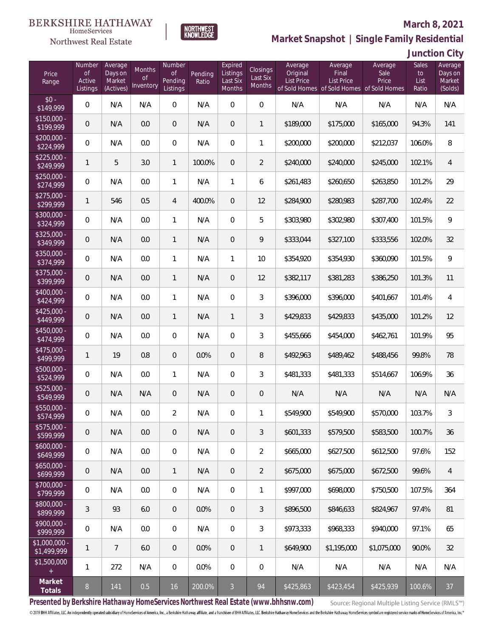

**NORTHWEST**<br>KNOWLEDGE **Market Snapshot | Single Family Residential**

# **Junction City**

| Price<br>Range                | Number<br>of<br>Active<br>Listings | Average<br>Days on<br>Market<br>(Actives) | <b>Months</b><br>0f<br>Inventory | Number<br>Οf<br>Pending<br>Listings | Pending<br>Ratio | Expired<br>Listings<br>Last Six<br>Months | Closings<br>Last Six<br>Months | Average<br>Original<br><b>List Price</b> | Average<br>Final<br><b>List Price</b><br>of Sold Homes of Sold Homes of Sold Homes | Average<br>Sale<br>Price | <b>Sales</b><br>to<br>List<br>Ratio | Average<br>Days on<br>Market<br>(Solds) |
|-------------------------------|------------------------------------|-------------------------------------------|----------------------------------|-------------------------------------|------------------|-------------------------------------------|--------------------------------|------------------------------------------|------------------------------------------------------------------------------------|--------------------------|-------------------------------------|-----------------------------------------|
| $$0 -$<br>\$149,999           | $\overline{0}$                     | N/A                                       | N/A                              | $\overline{0}$                      | N/A              | $\overline{0}$                            | $\overline{0}$                 | N/A                                      | N/A                                                                                | N/A                      | N/A                                 | N/A                                     |
| $$150,000 -$<br>\$199,999     | $\overline{0}$                     | N/A                                       | 0.0                              | $\overline{0}$                      | N/A              | $\overline{0}$                            | 1                              | \$189,000                                | \$175,000                                                                          | \$165,000                | 94.3%                               | 141                                     |
| $$200,000 -$<br>\$224,999     | $\overline{0}$                     | N/A                                       | 0.0                              | $\mathbf{0}$                        | N/A              | $\overline{0}$                            | 1                              | \$200,000                                | \$200,000                                                                          | \$212,037                | 106.0%                              | 8                                       |
| $$225,000 -$<br>\$249,999     | 1                                  | 5                                         | 3.0                              | $\mathbf{1}$                        | 100.0%           | $\overline{0}$                            | $\overline{2}$                 | \$240,000                                | \$240,000                                                                          | \$245,000                | 102.1%                              | $\overline{4}$                          |
| $$250,000 -$<br>\$274,999     | $\overline{0}$                     | N/A                                       | 0.0                              | $\mathbf{1}$                        | N/A              | $\mathbf{1}$                              | 6                              | \$261,483                                | \$260,650                                                                          | \$263,850                | 101.2%                              | 29                                      |
| $$275,000 -$<br>\$299,999     | 1                                  | 546                                       | 0.5                              | $\overline{4}$                      | 400.0%           | $\overline{0}$                            | 12                             | \$284,900                                | \$280,983                                                                          | \$287,700                | 102.4%                              | 22                                      |
| $$300,000 -$<br>\$324,999     | $\overline{0}$                     | N/A                                       | 0.0                              | $\mathbf{1}$                        | N/A              | $\mathbf{0}$                              | 5                              | \$303,980                                | \$302,980                                                                          | \$307,400                | 101.5%                              | 9                                       |
| $$325,000 -$<br>\$349,999     | $\overline{0}$                     | N/A                                       | 0.0                              | $\mathbf{1}$                        | N/A              | $\overline{0}$                            | 9                              | \$333,044                                | \$327,100                                                                          | \$333,556                | 102.0%                              | 32                                      |
| $$350,000 -$<br>\$374,999     | $\overline{0}$                     | N/A                                       | 0.0                              | $\mathbf{1}$                        | N/A              | $\mathbf{1}$                              | 10                             | \$354,920                                | \$354,930                                                                          | \$360,090                | 101.5%                              | 9                                       |
| $$375,000 -$<br>\$399,999     | $\overline{0}$                     | N/A                                       | 0.0                              | $\mathbf{1}$                        | N/A              | $\overline{0}$                            | 12                             | \$382,117                                | \$381,283                                                                          | \$386,250                | 101.3%                              | 11                                      |
| $$400,000 -$<br>\$424,999     | $\overline{0}$                     | N/A                                       | 0.0                              | $\mathbf{1}$                        | N/A              | $\overline{0}$                            | 3                              | \$396,000                                | \$396,000                                                                          | \$401,667                | 101.4%                              | $\overline{4}$                          |
| $$425,000 -$<br>\$449,999     | $\overline{0}$                     | N/A                                       | 0.0                              | $\mathbf{1}$                        | N/A              | $\mathbf{1}$                              | 3                              | \$429,833                                | \$429,833                                                                          | \$435,000                | 101.2%                              | 12                                      |
| $$450,000 -$<br>\$474,999     | $\overline{0}$                     | N/A                                       | 0.0                              | $\overline{0}$                      | N/A              | $\overline{0}$                            | 3                              | \$455,666                                | \$454,000                                                                          | \$462,761                | 101.9%                              | 95                                      |
| $$475,000 -$<br>\$499,999     | 1                                  | 19                                        | 0.8                              | $\overline{0}$                      | 0.0%             | $\overline{0}$                            | 8                              | \$492,963                                | \$489,462                                                                          | \$488,456                | 99.8%                               | 78                                      |
| $$500,000 -$<br>\$524,999     | $\overline{0}$                     | N/A                                       | 0.0                              | $\mathbf{1}$                        | N/A              | $\mathbf{0}$                              | 3                              | \$481,333                                | \$481,333                                                                          | \$514,667                | 106.9%                              | 36                                      |
| $$525,000 -$<br>\$549,999     | $\overline{0}$                     | N/A                                       | N/A                              | $\overline{0}$                      | N/A              | $\overline{0}$                            | $\mathbf 0$                    | N/A                                      | N/A                                                                                | N/A                      | N/A                                 | N/A                                     |
| \$550,000 -<br>\$574,999      | 0                                  | N/A                                       | 0.0                              | $\overline{2}$                      | N/A              | $\mathbf{0}$                              | 1                              | \$549,900                                | \$549,900                                                                          | \$570,000                | 103.7%                              | $\mathfrak{Z}$                          |
| $$575,000 -$<br>\$599,999     | $\overline{0}$                     | N/A                                       | 0.0                              | $\theta$                            | N/A              | $\overline{0}$                            | 3                              | \$601,333                                | \$579,500                                                                          | \$583,500                | 100.7%                              | 36                                      |
| $$600,000 -$<br>\$649,999     | $\mathbf 0$                        | N/A                                       | 0.0                              | 0                                   | N/A              | 0                                         | $\overline{2}$                 | \$665,000                                | \$627,500                                                                          | \$612,500                | 97.6%                               | 152                                     |
| $$650,000 -$<br>\$699,999     | $\overline{0}$                     | N/A                                       | 0.0                              | $\mathbf{1}$                        | N/A              | $\overline{0}$                            | $\overline{2}$                 | \$675,000                                | \$675,000                                                                          | \$672,500                | 99.6%                               | $\overline{4}$                          |
| $$700,000 -$<br>\$799,999     | $\mathbf 0$                        | N/A                                       | 0.0                              | 0                                   | N/A              | $\boldsymbol{0}$                          | 1                              | \$997,000                                | \$698,000                                                                          | \$750,500                | 107.5%                              | 364                                     |
| $$800,000 -$<br>\$899,999     | 3                                  | 93                                        | 6.0                              | $\theta$                            | 0.0%             | $\overline{0}$                            | 3                              | \$896,500                                | \$846,633                                                                          | \$824,967                | 97.4%                               | 81                                      |
| $$900,000 -$<br>\$999,999     | $\mathbf 0$                        | N/A                                       | 0.0                              | $\boldsymbol{0}$                    | N/A              | $\boldsymbol{0}$                          | 3                              | \$973,333                                | \$968,333                                                                          | \$940,000                | 97.1%                               | 65                                      |
| $$1,000,000 -$<br>\$1,499,999 | 1                                  | $\overline{7}$                            | 6.0                              | $\theta$                            | 0.0%             | $\overline{0}$                            | $\mathbf{1}$                   | \$649,900                                | \$1,195,000                                                                        | \$1,075,000              | 90.0%                               | 32                                      |
| \$1,500,000<br>$+$            | 1                                  | 272                                       | N/A                              | 0                                   | 0.0%             | 0                                         | $\mathbf 0$                    | N/A                                      | N/A                                                                                | N/A                      | N/A                                 | N/A                                     |
| Market<br>Totals              | $8\phantom{.}$                     | 141                                       | 0.5                              | 16                                  | 200.0%           | $\overline{3}$                            | 94                             | \$425,863                                | \$423,454                                                                          | \$425,939                | 100.6%                              | 37                                      |

**Presented by Berkshire Hathaway HomeServices Northwest Real Estate (www.bhhsnw.com)**

Source: Regional Multiple Listing Service (RMLS™)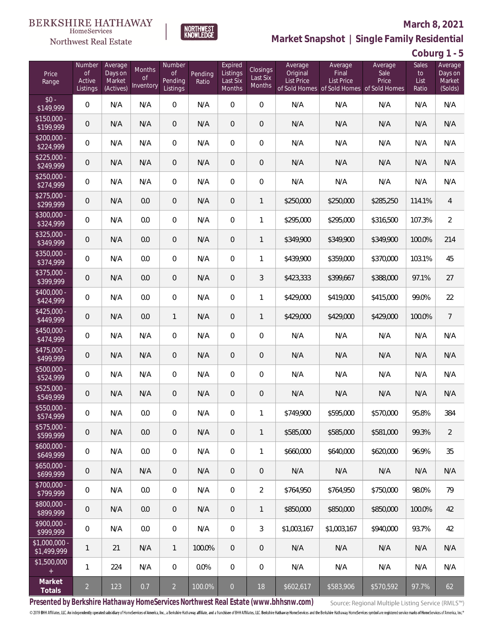

**NORTHWEST**<br>KNOWLEDGE

Northwest Real Estate

**Market Snapshot | Single Family Residential**

**Coburg 1 - 5**

| Price<br>Range                | Number<br><b>of</b><br>Active<br>Listings | Average<br>Days on<br>Market<br>(Actives) | Months<br>0f<br>Inventory | Number<br><b>of</b><br>Pending<br>Listings | Pending<br>Ratio | Expired<br>Listings<br>Last Six<br>Months | Closings<br>Last Six<br>Months | Average<br>Original<br><b>List Price</b> | Average<br>Final<br>List Price<br>of Sold Homes of Sold Homes of Sold Homes | Average<br>Sale<br>Price | Sales<br>to<br>List<br>Ratio | Average<br>Days on<br>Market<br>(Solds) |
|-------------------------------|-------------------------------------------|-------------------------------------------|---------------------------|--------------------------------------------|------------------|-------------------------------------------|--------------------------------|------------------------------------------|-----------------------------------------------------------------------------|--------------------------|------------------------------|-----------------------------------------|
| $$0 -$<br>\$149,999           | $\overline{0}$                            | N/A                                       | N/A                       | $\overline{0}$                             | N/A              | $\Omega$                                  | $\overline{0}$                 | N/A                                      | N/A                                                                         | N/A                      | N/A                          | N/A                                     |
| $$150,000 -$<br>\$199,999     | $\overline{0}$                            | N/A                                       | N/A                       | $\overline{0}$                             | N/A              | $\overline{0}$                            | $\boldsymbol{0}$               | N/A                                      | N/A                                                                         | N/A                      | N/A                          | N/A                                     |
| $$200,000 -$<br>\$224,999     | $\overline{0}$                            | N/A                                       | N/A                       | $\overline{0}$                             | N/A              | $\overline{0}$                            | $\boldsymbol{0}$               | N/A                                      | N/A                                                                         | N/A                      | N/A                          | N/A                                     |
| $$225,000 -$<br>\$249,999     | $\overline{0}$                            | N/A                                       | N/A                       | $\overline{0}$                             | N/A              | $\overline{0}$                            | $\overline{0}$                 | N/A                                      | N/A                                                                         | N/A                      | N/A                          | N/A                                     |
| $$250,000 -$<br>\$274,999     | $\mathbf 0$                               | N/A                                       | N/A                       | $\overline{0}$                             | N/A              | $\overline{0}$                            | 0                              | N/A                                      | N/A                                                                         | N/A                      | N/A                          | N/A                                     |
| $$275,000 -$<br>\$299,999     | $\mathbf 0$                               | N/A                                       | 0.0                       | $\overline{0}$                             | N/A              | $\overline{0}$                            | $\mathbf{1}$                   | \$250,000                                | \$250,000                                                                   | \$285,250                | 114.1%                       | 4                                       |
| \$300,000 -<br>\$324,999      | $\mathbf 0$                               | N/A                                       | 0.0                       | $\overline{0}$                             | N/A              | $\overline{0}$                            | 1                              | \$295,000                                | \$295,000                                                                   | \$316,500                | 107.3%                       | $\overline{2}$                          |
| $$325,000 -$<br>\$349,999     | $\mathbf 0$                               | N/A                                       | 0.0                       | $\overline{0}$                             | N/A              | $\overline{0}$                            | $\mathbf{1}$                   | \$349,900                                | \$349,900                                                                   | \$349,900                | 100.0%                       | 214                                     |
| \$350,000 -<br>\$374,999      | $\mathbf 0$                               | N/A                                       | 0.0                       | $\overline{0}$                             | N/A              | $\overline{0}$                            | 1                              | \$439,900                                | \$359,000                                                                   | \$370,000                | 103.1%                       | 45                                      |
| $$375,000 -$<br>\$399,999     | $\boldsymbol{0}$                          | N/A                                       | 0.0                       | $\overline{0}$                             | N/A              | $\overline{0}$                            | 3                              | \$423,333                                | \$399,667                                                                   | \$388,000                | 97.1%                        | 27                                      |
| \$400,000 -<br>\$424,999      | $\overline{0}$                            | N/A                                       | 0.0                       | $\overline{0}$                             | N/A              | $\mathbf{0}$                              | 1                              | \$429,000                                | \$419,000                                                                   | \$415,000                | 99.0%                        | 22                                      |
| $$425,000 -$<br>\$449,999     | $\mathbf 0$                               | N/A                                       | 0.0                       | $\mathbf{1}$                               | N/A              | $\overline{0}$                            | $\mathbf{1}$                   | \$429,000                                | \$429,000                                                                   | \$429,000                | 100.0%                       | $\overline{7}$                          |
| $$450,000 -$<br>\$474,999     | $\overline{0}$                            | N/A                                       | N/A                       | $\overline{0}$                             | N/A              | $\overline{0}$                            | $\boldsymbol{0}$               | N/A                                      | N/A                                                                         | N/A                      | N/A                          | N/A                                     |
| $$475,000 -$<br>\$499,999     | $\mathbf 0$                               | N/A                                       | N/A                       | $\overline{0}$                             | N/A              | $\mathbf{0}$                              | 0                              | N/A                                      | N/A                                                                         | N/A                      | N/A                          | N/A                                     |
| \$500,000 -<br>\$524,999      | $\mathbf 0$                               | N/A                                       | N/A                       | $\overline{0}$                             | N/A              | $\overline{0}$                            | $\boldsymbol{0}$               | N/A                                      | N/A                                                                         | N/A                      | N/A                          | N/A                                     |
| $$525,000 -$<br>\$549,999     | $\theta$                                  | N/A                                       | N/A                       | $\overline{0}$                             | N/A              | $\overline{0}$                            | $\overline{0}$                 | N/A                                      | N/A                                                                         | N/A                      | N/A                          | N/A                                     |
| \$550,000 -<br>\$574,999      | $\boldsymbol{0}$                          | N/A                                       | 0.0                       | $\mathbf{0}$                               | N/A              | 0                                         | 1                              | \$749,900                                | \$595,000                                                                   | \$570,000                | 95.8%                        | 384                                     |
| \$575,000 -<br>\$599,999      | $\overline{0}$                            | N/A                                       | 0.0                       | $\theta$                                   | N/A              | $\mathbf 0$                               | $\mathbf{1}$                   | \$585,000                                | \$585,000                                                                   | \$581,000                | 99.3%                        | 2                                       |
| $$600,000 -$<br>\$649,999     | $\mathbf 0$                               | N/A                                       | 0.0                       | $\mathbf 0$                                | N/A              | $\mathbf{0}$                              | 1                              | \$660,000                                | \$640,000                                                                   | \$620,000                | 96.9%                        | 35                                      |
| $$650,000 -$<br>\$699,999     | $\overline{0}$                            | N/A                                       | N/A                       | $\overline{0}$                             | N/A              | $\sqrt{a}$                                | $\overline{0}$                 | N/A                                      | N/A                                                                         | N/A                      | N/A                          | N/A                                     |
| \$700,000 -<br>\$799,999      | $\mathbf 0$                               | N/A                                       | 0.0                       | $\boldsymbol{0}$                           | N/A              | $\mathbf 0$                               | $\overline{2}$                 | \$764,950                                | \$764,950                                                                   | \$750,000                | 98.0%                        | 79                                      |
| \$800,000 -<br>\$899,999      | $\overline{0}$                            | N/A                                       | 0.0                       | $\overline{0}$                             | N/A              | $\sqrt{a}$                                | 1                              | \$850,000                                | \$850,000                                                                   | \$850,000                | 100.0%                       | 42                                      |
| $$900,000 -$<br>\$999,999     | $\mathbf 0$                               | N/A                                       | 0.0                       | $\mathbf 0$                                | N/A              | $\overline{0}$                            | 3                              | \$1,003,167                              | \$1,003,167                                                                 | \$940,000                | 93.7%                        | 42                                      |
| $$1,000,000 -$<br>\$1,499,999 | $\mathbf{1}$                              | 21                                        | N/A                       | $\mathbf{1}$                               | 100.0%           | $\overline{0}$                            | $\overline{0}$                 | N/A                                      | N/A                                                                         | N/A                      | N/A                          | N/A                                     |
| \$1,500,000<br>$+$            | $\mathbf{1}$                              | 224                                       | N/A                       | $\overline{0}$                             | 0.0%             | $\mathbf 0$                               | 0                              | N/A                                      | N/A                                                                         | N/A                      | N/A                          | N/A                                     |
| Market<br>Totals              | $\overline{2}$                            | 123                                       | 0.7                       | $\overline{2}$                             | 100.0%           | $\overline{O}$                            | 18                             | \$602,617                                | \$583,906                                                                   | \$570,592                | 97.7%                        | 62                                      |

**Presented by Berkshire Hathaway HomeServices Northwest Real Estate (www.bhhsnw.com)**

Source: Regional Multiple Listing Service (RMLS™)